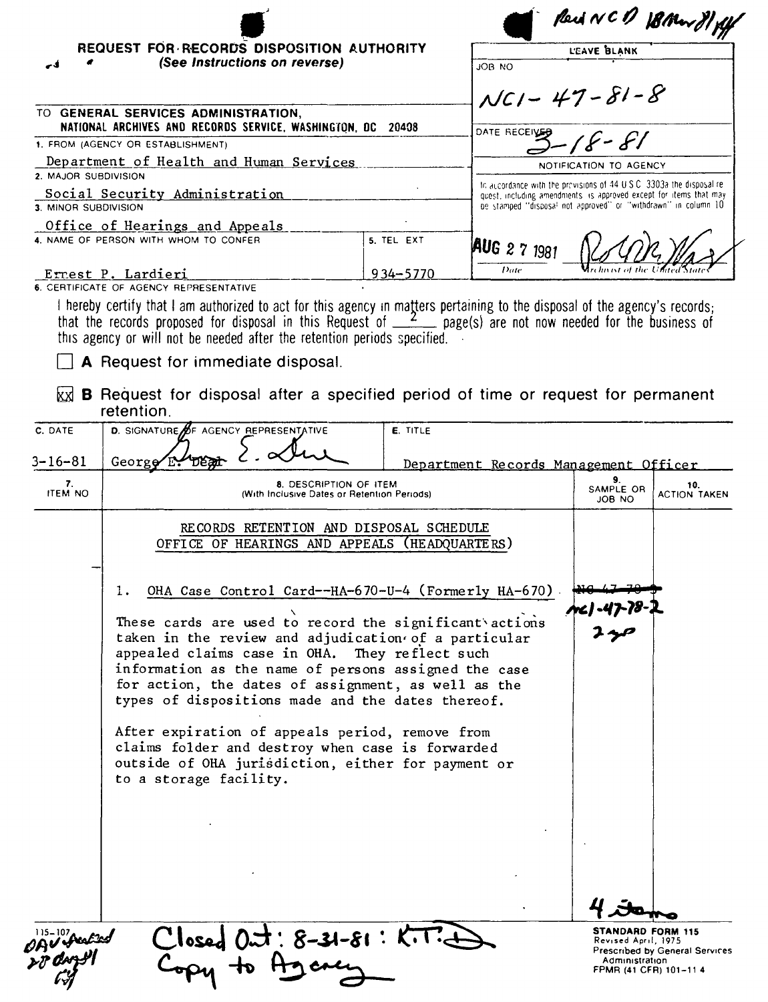|                      |                                                                                                                                                                                              |              |               | Reid NCD 18 Mars 81 flf                                                                                                                    |                                       |  |
|----------------------|----------------------------------------------------------------------------------------------------------------------------------------------------------------------------------------------|--------------|---------------|--------------------------------------------------------------------------------------------------------------------------------------------|---------------------------------------|--|
|                      | REQUEST FOR RECORDS DISPOSITION AUTHORITY                                                                                                                                                    |              |               | L'EAVE BLANK                                                                                                                               |                                       |  |
| -4                   | (See Instructions on reverse)                                                                                                                                                                |              | <b>JOB NO</b> |                                                                                                                                            |                                       |  |
|                      |                                                                                                                                                                                              |              |               |                                                                                                                                            |                                       |  |
|                      |                                                                                                                                                                                              |              |               | $NCI - 47 - 81 - 8$                                                                                                                        |                                       |  |
|                      | TO GENERAL SERVICES ADMINISTRATION,<br>NATIONAL ARCHIVES AND RECORDS SERVICE, WASHINGTON, DC 20408                                                                                           |              |               |                                                                                                                                            |                                       |  |
|                      | 1. FROM (AGENCY OR ESTABLISHMENT)                                                                                                                                                            |              | DATE RECEIVER |                                                                                                                                            |                                       |  |
|                      | Department of Health and Human Services                                                                                                                                                      |              |               |                                                                                                                                            |                                       |  |
| 2. MAJOR SUBDIVISION |                                                                                                                                                                                              |              |               | NOTIFICATION TO AGENCY                                                                                                                     |                                       |  |
|                      | Social Security Administration                                                                                                                                                               |              |               | In accordance with the provisions of 44 U.S.C. 3303a the disposal re-<br>quest, including amendments is approved except for items that may |                                       |  |
| 3. MINOR SUBDIVISION |                                                                                                                                                                                              |              |               | be stamped "disposal not approved" or "withdrawn" in column 10                                                                             |                                       |  |
|                      | Office of Hearings and Appeals                                                                                                                                                               |              |               |                                                                                                                                            |                                       |  |
|                      | 4. NAME OF PERSON WITH WHOM TO CONFER                                                                                                                                                        | 5. TEL EXT   | AUG 2 7 1981  |                                                                                                                                            |                                       |  |
|                      |                                                                                                                                                                                              |              | Date          |                                                                                                                                            |                                       |  |
|                      | <u>Errest P. Lardieri</u><br>6. CERTIFICATE OF AGENCY REPRESENTATIVE                                                                                                                         | $934 - 5770$ |               |                                                                                                                                            |                                       |  |
|                      | I hereby certify that I am authorized to act for this agency in matters pertaining to the disposal of the agency's records;                                                                  |              |               |                                                                                                                                            |                                       |  |
|                      | that the records proposed for disposal in this Request of $\_\_Z$ page(s) are not now needed for the business of<br>this agency or will not be needed after the retention periods specified. |              |               |                                                                                                                                            |                                       |  |
|                      | A Request for immediate disposal.                                                                                                                                                            |              |               |                                                                                                                                            |                                       |  |
|                      |                                                                                                                                                                                              |              |               |                                                                                                                                            |                                       |  |
| kх                   | <b>B</b> Request for disposal after a specified period of time or request for permanent<br>retention.                                                                                        |              |               |                                                                                                                                            |                                       |  |
| C. DATE              | D. SIGNATURE OF AGENCY REPRESENTATIVE                                                                                                                                                        | E. TITLE     |               |                                                                                                                                            |                                       |  |
|                      |                                                                                                                                                                                              |              |               |                                                                                                                                            |                                       |  |
| $3 - 16 - 81$        | George $E$ :                                                                                                                                                                                 |              |               | Department Records Management Officer                                                                                                      |                                       |  |
| 7.                   | 8. DESCRIPTION OF ITEM                                                                                                                                                                       |              |               | 9.                                                                                                                                         | 10.                                   |  |
| <b>ITEM NO</b>       | (With Inclusive Dates or Retention Periods)                                                                                                                                                  |              |               | SAMPLE OR<br><b>JOB NO</b>                                                                                                                 | ACTION TAKEN                          |  |
|                      |                                                                                                                                                                                              |              |               |                                                                                                                                            |                                       |  |
|                      | RECORDS RETENTION AND DISPOSAL SCHEDULE<br>OFFICE OF HEARINGS AND APPEALS (HEADQUARTERS)                                                                                                     |              |               |                                                                                                                                            |                                       |  |
|                      |                                                                                                                                                                                              |              |               |                                                                                                                                            |                                       |  |
|                      |                                                                                                                                                                                              |              |               |                                                                                                                                            |                                       |  |
|                      | OHA Case Control Card--HA-670-U-4 (Formerly HA-670)<br>ı.                                                                                                                                    |              |               |                                                                                                                                            |                                       |  |
|                      |                                                                                                                                                                                              |              |               |                                                                                                                                            |                                       |  |
|                      | These cards are used to record the significant actions                                                                                                                                       |              |               |                                                                                                                                            |                                       |  |
|                      | taken in the review and adjudication of a particular                                                                                                                                         |              |               |                                                                                                                                            |                                       |  |
|                      | appealed claims case in OHA. They reflect such                                                                                                                                               |              |               |                                                                                                                                            |                                       |  |
|                      | information as the name of persons assigned the case                                                                                                                                         |              |               |                                                                                                                                            |                                       |  |
|                      | for action, the dates of assignment, as well as the<br>types of dispositions made and the dates thereof.                                                                                     |              |               |                                                                                                                                            |                                       |  |
|                      |                                                                                                                                                                                              |              |               |                                                                                                                                            |                                       |  |
|                      | After expiration of appeals period, remove from                                                                                                                                              |              |               |                                                                                                                                            |                                       |  |
|                      | claims folder and destroy when case is forwarded                                                                                                                                             |              |               |                                                                                                                                            |                                       |  |
|                      | outside of OHA jurisdiction, either for payment or                                                                                                                                           |              |               |                                                                                                                                            |                                       |  |
|                      | to a storage facility.                                                                                                                                                                       |              |               |                                                                                                                                            |                                       |  |
|                      |                                                                                                                                                                                              |              |               |                                                                                                                                            |                                       |  |
|                      |                                                                                                                                                                                              |              |               |                                                                                                                                            |                                       |  |
|                      |                                                                                                                                                                                              |              |               |                                                                                                                                            |                                       |  |
|                      |                                                                                                                                                                                              |              |               |                                                                                                                                            |                                       |  |
|                      |                                                                                                                                                                                              |              |               |                                                                                                                                            |                                       |  |
|                      |                                                                                                                                                                                              |              |               |                                                                                                                                            |                                       |  |
|                      |                                                                                                                                                                                              |              |               |                                                                                                                                            |                                       |  |
|                      |                                                                                                                                                                                              |              |               | STANDARD FORM 115                                                                                                                          |                                       |  |
| ዕฎบ ษ                | Closed Out: 8-31-81: K.T.                                                                                                                                                                    |              |               | Revised April, 1975                                                                                                                        |                                       |  |
|                      |                                                                                                                                                                                              |              |               | Administration                                                                                                                             | <b>Prescribed by General Services</b> |  |
|                      |                                                                                                                                                                                              |              |               |                                                                                                                                            | FPMR (41 CFR) 101-11 4                |  |

k